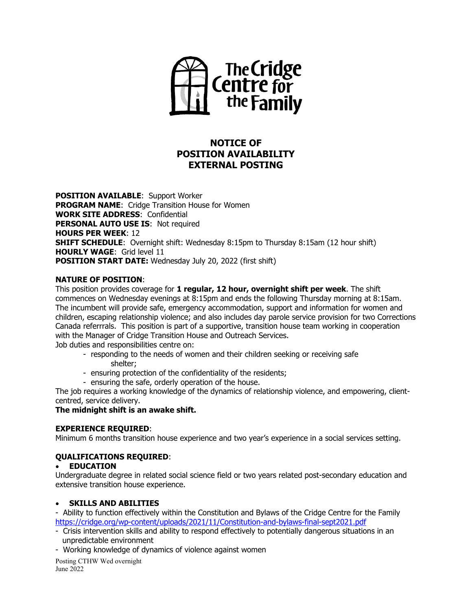

# **NOTICE OF POSITION AVAILABILITY EXTERNAL POSTING**

**POSITION AVAILABLE**: Support Worker **PROGRAM NAME**: Cridge Transition House for Women **WORK SITE ADDRESS**: Confidential **PERSONAL AUTO USE IS: Not required HOURS PER WEEK**: 12 **SHIFT SCHEDULE:** Overnight shift: Wednesday 8:15pm to Thursday 8:15am (12 hour shift) **HOURLY WAGE**: Grid level 11 **POSITION START DATE:** Wednesday July 20, 2022 (first shift)

#### **NATURE OF POSITION**:

This position provides coverage for **1 regular, 12 hour, overnight shift per week**. The shift commences on Wednesday evenings at 8:15pm and ends the following Thursday morning at 8:15am. The incumbent will provide safe, emergency accommodation, support and information for women and children, escaping relationship violence; and also includes day parole service provision for two Corrections Canada referrrals. This position is part of a supportive, transition house team working in cooperation with the Manager of Cridge Transition House and Outreach Services.

Job duties and responsibilities centre on:

- responding to the needs of women and their children seeking or receiving safe shelter;
- ensuring protection of the confidentiality of the residents;
- ensuring the safe, orderly operation of the house.

The job requires a working knowledge of the dynamics of relationship violence, and empowering, clientcentred, service delivery.

# **The midnight shift is an awake shift.**

# **EXPERIENCE REQUIRED**:

Minimum 6 months transition house experience and two year's experience in a social services setting.

# **QUALIFICATIONS REQUIRED**:

# • **EDUCATION**

Undergraduate degree in related social science field or two years related post-secondary education and extensive transition house experience.

# • **SKILLS AND ABILITIES**

- Ability to function effectively within the Constitution and Bylaws of the Cridge Centre for the Family <https://cridge.org/wp-content/uploads/2021/11/Constitution-and-bylaws-final-sept2021.pdf>

- Crisis intervention skills and ability to respond effectively to potentially dangerous situations in an unpredictable environment
- Working knowledge of dynamics of violence against women